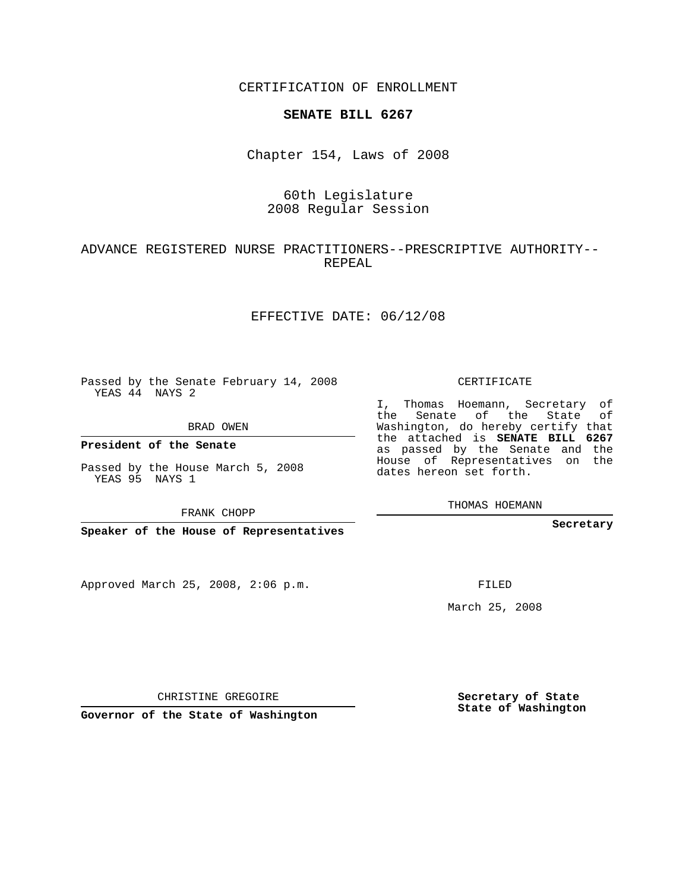CERTIFICATION OF ENROLLMENT

#### **SENATE BILL 6267**

Chapter 154, Laws of 2008

## 60th Legislature 2008 Regular Session

### ADVANCE REGISTERED NURSE PRACTITIONERS--PRESCRIPTIVE AUTHORITY-- REPEAL

#### EFFECTIVE DATE: 06/12/08

Passed by the Senate February 14, 2008 YEAS 44 NAYS 2

BRAD OWEN

**President of the Senate**

Passed by the House March 5, 2008 YEAS 95 NAYS 1

FRANK CHOPP

**Speaker of the House of Representatives**

Approved March 25, 2008, 2:06 p.m.

CERTIFICATE

I, Thomas Hoemann, Secretary of the Senate of the State of Washington, do hereby certify that the attached is **SENATE BILL 6267** as passed by the Senate and the House of Representatives on the dates hereon set forth.

THOMAS HOEMANN

**Secretary**

FILED

March 25, 2008

CHRISTINE GREGOIRE

**Governor of the State of Washington**

**Secretary of State State of Washington**